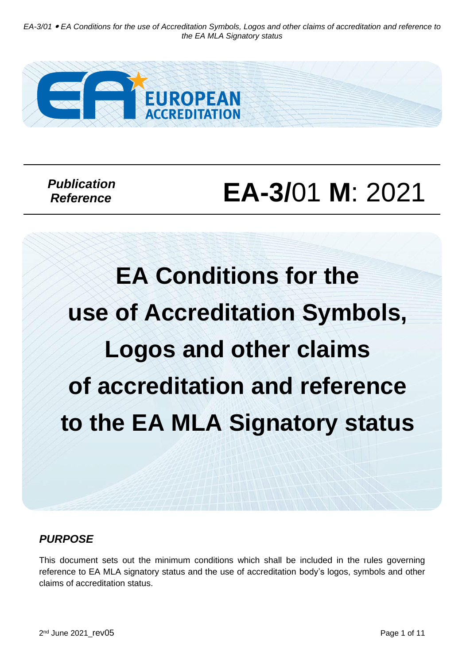*EA-3/01 EA Conditions for the use of Accreditation Symbols, Logos and other claims of accreditation and reference to the EA MLA Signatory status*



 *Publication Reference*

# **EA-3/**01 **M**: 2021

**EA Conditions for the use of Accreditation Symbols, Logos and other claims of accreditation and reference to the EA MLA Signatory status**

# *PURPOSE*

This document sets out the minimum conditions which shall be included in the rules governing reference to EA MLA signatory status and the use of accreditation body's logos, symbols and other claims of accreditation status.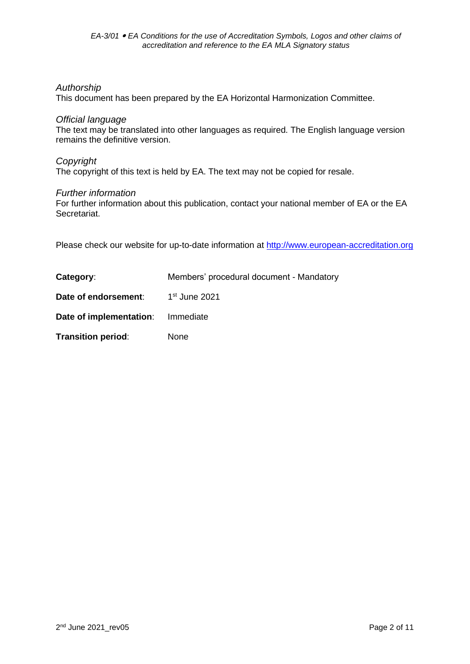#### *Authorship*

This document has been prepared by the EA Horizontal Harmonization Committee.

#### *Official language*

The text may be translated into other languages as required. The English language version remains the definitive version.

# *Copyright*

The copyright of this text is held by EA. The text may not be copied for resale.

#### *Further information*

For further information about this publication, contact your national member of EA or the EA Secretariat.

Please check our website for up-to-date information at [http://www.european-accreditation.org](http://www.european-accreditation.org/)

| Category:                         | Members' procedural document - Mandatory |
|-----------------------------------|------------------------------------------|
| Date of endorsement:              | $1st$ June 2021                          |
| Date of implementation: Immediate |                                          |
| <b>Transition period:</b>         | None                                     |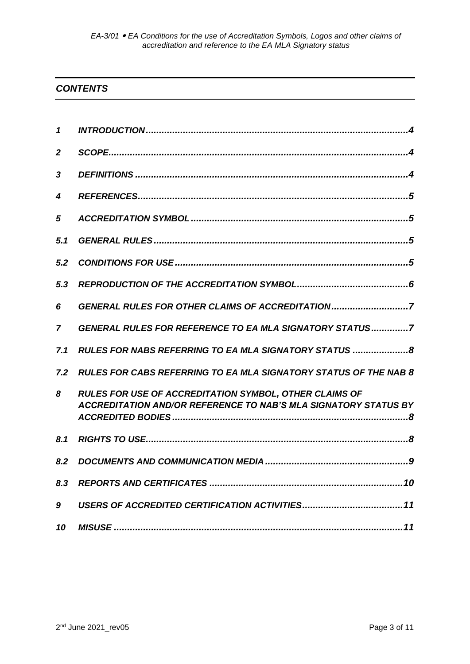# *CONTENTS*

| 1            |                                                                                                                                         |
|--------------|-----------------------------------------------------------------------------------------------------------------------------------------|
| $\mathbf{2}$ |                                                                                                                                         |
| 3            |                                                                                                                                         |
| 4            |                                                                                                                                         |
| 5            |                                                                                                                                         |
| 5.1          |                                                                                                                                         |
| 5.2          |                                                                                                                                         |
| 5.3          |                                                                                                                                         |
| 6            | GENERAL RULES FOR OTHER CLAIMS OF ACCREDITATION7                                                                                        |
| 7            | <b>GENERAL RULES FOR REFERENCE TO EA MLA SIGNATORY STATUS7</b>                                                                          |
| 7.1          | RULES FOR NABS REFERRING TO EA MLA SIGNATORY STATUS 8                                                                                   |
| 7.2          | <b>RULES FOR CABS REFERRING TO EA MLA SIGNATORY STATUS OF THE NAB 8</b>                                                                 |
| 8            | <b>RULES FOR USE OF ACCREDITATION SYMBOL, OTHER CLAIMS OF</b><br><b>ACCREDITATION AND/OR REFERENCE TO NAB'S MLA SIGNATORY STATUS BY</b> |
| 8.1          |                                                                                                                                         |
| 8.2          |                                                                                                                                         |
| 8.3          |                                                                                                                                         |
| 9            |                                                                                                                                         |
| 10           |                                                                                                                                         |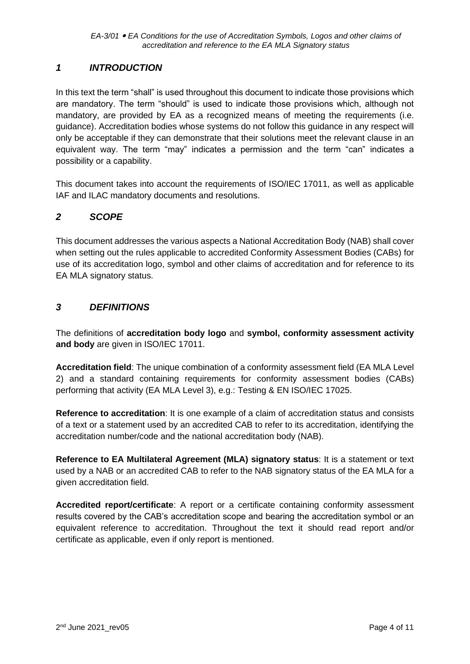# <span id="page-3-0"></span>*1 INTRODUCTION*

In this text the term "shall" is used throughout this document to indicate those provisions which are mandatory. The term "should" is used to indicate those provisions which, although not mandatory, are provided by EA as a recognized means of meeting the requirements (i.e. guidance). Accreditation bodies whose systems do not follow this guidance in any respect will only be acceptable if they can demonstrate that their solutions meet the relevant clause in an equivalent way. The term "may" indicates a permission and the term "can" indicates a possibility or a capability.

This document takes into account the requirements of ISO/IEC 17011, as well as applicable IAF and ILAC mandatory documents and resolutions.

# <span id="page-3-1"></span>*2 SCOPE*

This document addresses the various aspects a National Accreditation Body (NAB) shall cover when setting out the rules applicable to accredited Conformity Assessment Bodies (CABs) for use of its accreditation logo, symbol and other claims of accreditation and for reference to its EA MLA signatory status.

# <span id="page-3-2"></span>*3 DEFINITIONS*

The definitions of **accreditation body logo** and **symbol, conformity assessment activity and body** are given in ISO/IEC 17011.

**Accreditation field**: The unique combination of a conformity assessment field (EA MLA Level 2) and a standard containing requirements for conformity assessment bodies (CABs) performing that activity (EA MLA Level 3), e.g.: Testing & EN ISO/IEC 17025.

**Reference to accreditation**: It is one example of a claim of accreditation status and consists of a text or a statement used by an accredited CAB to refer to its accreditation, identifying the accreditation number/code and the national accreditation body (NAB).

**Reference to EA Multilateral Agreement (MLA) signatory status**: It is a statement or text used by a NAB or an accredited CAB to refer to the NAB signatory status of the EA MLA for a given accreditation field.

**Accredited report/certificate**: A report or a certificate containing conformity assessment results covered by the CAB's accreditation scope and bearing the accreditation symbol or an equivalent reference to accreditation. Throughout the text it should read report and/or certificate as applicable, even if only report is mentioned.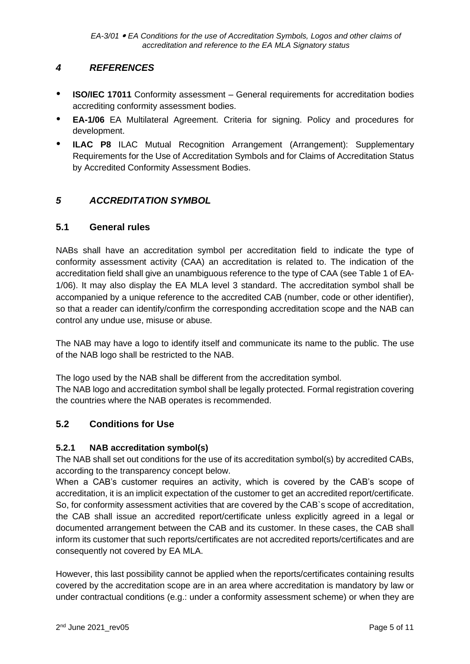# <span id="page-4-0"></span>*4 REFERENCES*

- *•* **ISO/IEC 17011** Conformity assessment General requirements for accreditation bodies accrediting conformity assessment bodies.
- *•* **EA-1/06** EA Multilateral Agreement. Criteria for signing. Policy and procedures for development.
- *•* **ILAC P8** ILAC Mutual Recognition Arrangement (Arrangement): Supplementary Requirements for the Use of Accreditation Symbols and for Claims of Accreditation Status by Accredited Conformity Assessment Bodies.

# <span id="page-4-1"></span>*5 ACCREDITATION SYMBOL*

# <span id="page-4-2"></span>**5.1 General rules**

NABs shall have an accreditation symbol per accreditation field to indicate the type of conformity assessment activity (CAA) an accreditation is related to. The indication of the accreditation field shall give an unambiguous reference to the type of CAA (see Table 1 of EA-1/06). It may also display the EA MLA level 3 standard. The accreditation symbol shall be accompanied by a unique reference to the accredited CAB (number, code or other identifier), so that a reader can identify/confirm the corresponding accreditation scope and the NAB can control any undue use, misuse or abuse.

The NAB may have a logo to identify itself and communicate its name to the public. The use of the NAB logo shall be restricted to the NAB.

The logo used by the NAB shall be different from the accreditation symbol. The NAB logo and accreditation symbol shall be legally protected. Formal registration covering the countries where the NAB operates is recommended.

# **5.2 Conditions for Use**

#### **5.2.1 NAB accreditation symbol(s)**

The NAB shall set out conditions for the use of its accreditation symbol(s) by accredited CABs, according to the transparency concept below.

When a CAB's customer requires an activity, which is covered by the CAB's scope of accreditation, it is an implicit expectation of the customer to get an accredited report/certificate. So, for conformity assessment activities that are covered by the CAB`s scope of accreditation, the CAB shall issue an accredited report/certificate unless explicitly agreed in a legal or documented arrangement between the CAB and its customer. In these cases, the CAB shall inform its customer that such reports/certificates are not accredited reports/certificates and are consequently not covered by EA MLA.

However, this last possibility cannot be applied when the reports/certificates containing results covered by the accreditation scope are in an area where accreditation is mandatory by law or under contractual conditions (e.g.: under a conformity assessment scheme) or when they are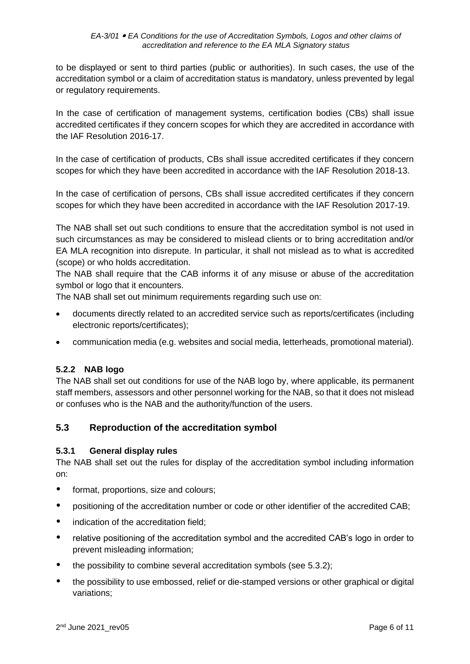to be displayed or sent to third parties (public or authorities). In such cases, the use of the accreditation symbol or a claim of accreditation status is mandatory, unless prevented by legal or regulatory requirements.

In the case of certification of management systems, certification bodies (CBs) shall issue accredited certificates if they concern scopes for which they are accredited in accordance with the IAF Resolution 2016-17.

In the case of certification of products, CBs shall issue accredited certificates if they concern scopes for which they have been accredited in accordance with the IAF Resolution 2018-13.

In the case of certification of persons, CBs shall issue accredited certificates if they concern scopes for which they have been accredited in accordance with the IAF Resolution 2017-19.

The NAB shall set out such conditions to ensure that the accreditation symbol is not used in such circumstances as may be considered to mislead clients or to bring accreditation and/or EA MLA recognition into disrepute. In particular, it shall not mislead as to what is accredited (scope) or who holds accreditation.

The NAB shall require that the CAB informs it of any misuse or abuse of the accreditation symbol or logo that it encounters.

The NAB shall set out minimum requirements regarding such use on:

- documents directly related to an accredited service such as reports/certificates (including electronic reports/certificates);
- communication media (e.g. websites and social media, letterheads, promotional material).

#### **5.2.2 NAB logo**

<span id="page-5-0"></span>The NAB shall set out conditions for use of the NAB logo by, where applicable, its permanent staff members, assessors and other personnel working for the NAB, so that it does not mislead or confuses who is the NAB and the authority/function of the users.

#### **5.3 Reproduction of the accreditation symbol**

#### **5.3.1 General display rules**

The NAB shall set out the rules for display of the accreditation symbol including information on:

- *•* format, proportions, size and colours;
- positioning of the accreditation number or code or other identifier of the accredited CAB;
- *•* indication of the accreditation field;
- relative positioning of the accreditation symbol and the accredited CAB's logo in order to prevent misleading information;
- the possibility to combine several accreditation symbols (see 5.3.2);
- *•* the possibility to use embossed, relief or die-stamped versions or other graphical or digital variations;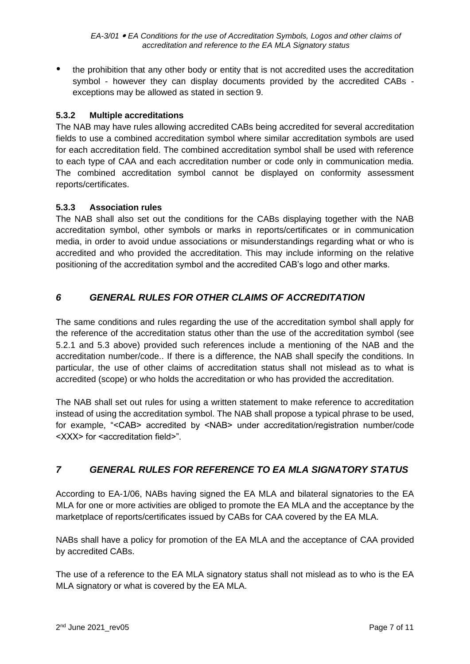*EA-3/01 EA Conditions for the use of Accreditation Symbols, Logos and other claims of accreditation and reference to the EA MLA Signatory status*

*•* the prohibition that any other body or entity that is not accredited uses the accreditation symbol - however they can display documents provided by the accredited CABs exceptions may be allowed as stated in section 9.

## **5.3.2 Multiple accreditations**

The NAB may have rules allowing accredited CABs being accredited for several accreditation fields to use a combined accreditation symbol where similar accreditation symbols are used for each accreditation field. The combined accreditation symbol shall be used with reference to each type of CAA and each accreditation number or code only in communication media. The combined accreditation symbol cannot be displayed on conformity assessment reports/certificates.

#### **5.3.3 Association rules**

The NAB shall also set out the conditions for the CABs displaying together with the NAB accreditation symbol, other symbols or marks in reports/certificates or in communication media, in order to avoid undue associations or misunderstandings regarding what or who is accredited and who provided the accreditation. This may include informing on the relative positioning of the accreditation symbol and the accredited CAB's logo and other marks.

# <span id="page-6-0"></span>*6 GENERAL RULES FOR OTHER CLAIMS OF ACCREDITATION*

The same conditions and rules regarding the use of the accreditation symbol shall apply for the reference of the accreditation status other than the use of the accreditation symbol (see 5.2.1 and 5.3 above) provided such references include a mentioning of the NAB and the accreditation number/code.. If there is a difference, the NAB shall specify the conditions. In particular, the use of other claims of accreditation status shall not mislead as to what is accredited (scope) or who holds the accreditation or who has provided the accreditation.

The NAB shall set out rules for using a written statement to make reference to accreditation instead of using the accreditation symbol. The NAB shall propose a typical phrase to be used, for example, "<CAB> accredited by <NAB> under accreditation/registration number/code <XXX> for <accreditation field>".

# <span id="page-6-1"></span>*7 GENERAL RULES FOR REFERENCE TO EA MLA SIGNATORY STATUS*

According to EA-1/06, NABs having signed the EA MLA and bilateral signatories to the EA MLA for one or more activities are obliged to promote the EA MLA and the acceptance by the marketplace of reports/certificates issued by CABs for CAA covered by the EA MLA.

NABs shall have a policy for promotion of the EA MLA and the acceptance of CAA provided by accredited CABs.

The use of a reference to the EA MLA signatory status shall not mislead as to who is the EA MLA signatory or what is covered by the EA MLA.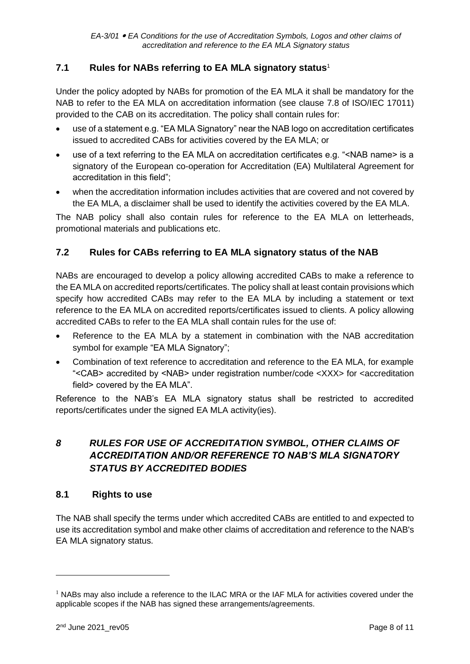# <span id="page-7-0"></span>**7.1 Rules for NABs referring to EA MLA signatory status**<sup>1</sup>

Under the policy adopted by NABs for promotion of the EA MLA it shall be mandatory for the NAB to refer to the EA MLA on accreditation information (see clause 7.8 of ISO/IEC 17011) provided to the CAB on its accreditation. The policy shall contain rules for:

- use of a statement e.g. "EA MLA Signatory" near the NAB logo on accreditation certificates issued to accredited CABs for activities covered by the EA MLA; or
- use of a text referring to the EA MLA on accreditation certificates e.g. "<NAB name> is a signatory of the European co-operation for Accreditation (EA) Multilateral Agreement for accreditation in this field";
- when the accreditation information includes activities that are covered and not covered by the EA MLA, a disclaimer shall be used to identify the activities covered by the EA MLA.

The NAB policy shall also contain rules for reference to the EA MLA on letterheads, promotional materials and publications etc.

# <span id="page-7-1"></span>**7.2 Rules for CABs referring to EA MLA signatory status of the NAB**

NABs are encouraged to develop a policy allowing accredited CABs to make a reference to the EA MLA on accredited reports/certificates. The policy shall at least contain provisions which specify how accredited CABs may refer to the EA MLA by including a statement or text reference to the EA MLA on accredited reports/certificates issued to clients. A policy allowing accredited CABs to refer to the EA MLA shall contain rules for the use of:

- Reference to the EA MLA by a statement in combination with the NAB accreditation symbol for example "EA MLA Signatory";
- Combination of text reference to accreditation and reference to the EA MLA, for example "<CAB> accredited by <NAB> under registration number/code <XXX> for <accreditation field> covered by the EA MLA".

Reference to the NAB's EA MLA signatory status shall be restricted to accredited reports/certificates under the signed EA MLA activity(ies).

# <span id="page-7-2"></span>*8 RULES FOR USE OF ACCREDITATION SYMBOL, OTHER CLAIMS OF ACCREDITATION AND/OR REFERENCE TO NAB'S MLA SIGNATORY STATUS BY ACCREDITED BODIES*

# <span id="page-7-3"></span>**8.1 Rights to use**

The NAB shall specify the terms under which accredited CABs are entitled to and expected to use its accreditation symbol and make other claims of accreditation and reference to the NAB's EA MLA signatory status.

 $1$  NABs may also include a reference to the ILAC MRA or the IAF MLA for activities covered under the applicable scopes if the NAB has signed these arrangements/agreements.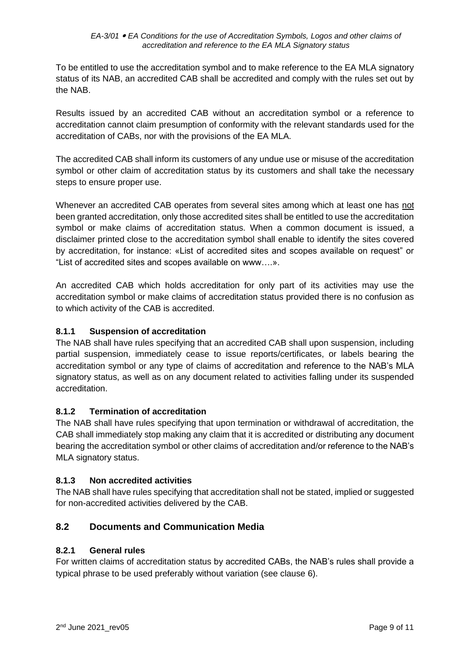To be entitled to use the accreditation symbol and to make reference to the EA MLA signatory status of its NAB, an accredited CAB shall be accredited and comply with the rules set out by the NAB.

Results issued by an accredited CAB without an accreditation symbol or a reference to accreditation cannot claim presumption of conformity with the relevant standards used for the accreditation of CABs, nor with the provisions of the EA MLA.

The accredited CAB shall inform its customers of any undue use or misuse of the accreditation symbol or other claim of accreditation status by its customers and shall take the necessary steps to ensure proper use.

Whenever an accredited CAB operates from several sites among which at least one has not been granted accreditation, only those accredited sites shall be entitled to use the accreditation symbol or make claims of accreditation status. When a common document is issued, a disclaimer printed close to the accreditation symbol shall enable to identify the sites covered by accreditation, for instance: «List of accredited sites and scopes available on request" or "List of accredited sites and scopes available on www….».

An accredited CAB which holds accreditation for only part of its activities may use the accreditation symbol or make claims of accreditation status provided there is no confusion as to which activity of the CAB is accredited.

# **8.1.1 Suspension of accreditation**

The NAB shall have rules specifying that an accredited CAB shall upon suspension, including partial suspension, immediately cease to issue reports/certificates, or labels bearing the accreditation symbol or any type of claims of accreditation and reference to the NAB's MLA signatory status, as well as on any document related to activities falling under its suspended accreditation.

#### **8.1.2 Termination of accreditation**

The NAB shall have rules specifying that upon termination or withdrawal of accreditation, the CAB shall immediately stop making any claim that it is accredited or distributing any document bearing the accreditation symbol or other claims of accreditation and/or reference to the NAB's MLA signatory status.

#### **8.1.3 Non accredited activities**

The NAB shall have rules specifying that accreditation shall not be stated, implied or suggested for non-accredited activities delivered by the CAB.

# <span id="page-8-0"></span>**8.2 Documents and Communication Media**

#### **8.2.1 General rules**

For written claims of accreditation status by accredited CABs, the NAB's rules shall provide a typical phrase to be used preferably without variation (see clause 6).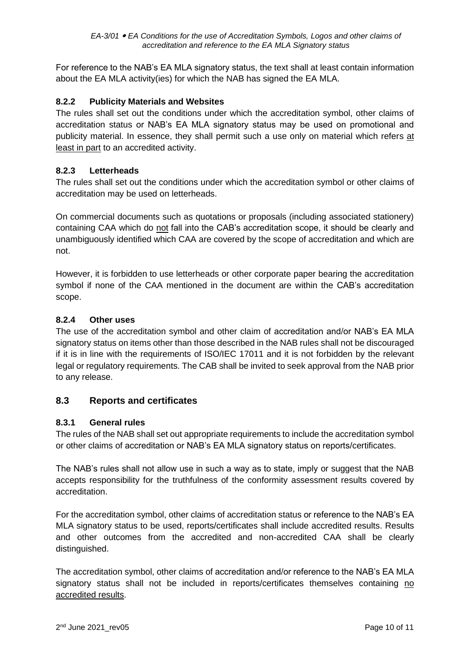For reference to the NAB's EA MLA signatory status, the text shall at least contain information about the EA MLA activity(ies) for which the NAB has signed the EA MLA.

## **8.2.2 Publicity Materials and Websites**

The rules shall set out the conditions under which the accreditation symbol, other claims of accreditation status or NAB's EA MLA signatory status may be used on promotional and publicity material. In essence, they shall permit such a use only on material which refers at least in part to an accredited activity.

#### **8.2.3 Letterheads**

The rules shall set out the conditions under which the accreditation symbol or other claims of accreditation may be used on letterheads.

On commercial documents such as quotations or proposals (including associated stationery) containing CAA which do not fall into the CAB's accreditation scope, it should be clearly and unambiguously identified which CAA are covered by the scope of accreditation and which are not.

However, it is forbidden to use letterheads or other corporate paper bearing the accreditation symbol if none of the CAA mentioned in the document are within the CAB's accreditation scope.

#### **8.2.4 Other uses**

The use of the accreditation symbol and other claim of accreditation and/or NAB's EA MLA signatory status on items other than those described in the NAB rules shall not be discouraged if it is in line with the requirements of ISO/IEC 17011 and it is not forbidden by the relevant legal or regulatory requirements. The CAB shall be invited to seek approval from the NAB prior to any release.

#### <span id="page-9-0"></span>**8.3 Reports and certificates**

#### **8.3.1 General rules**

The rules of the NAB shall set out appropriate requirements to include the accreditation symbol or other claims of accreditation or NAB's EA MLA signatory status on reports/certificates.

The NAB's rules shall not allow use in such a way as to state, imply or suggest that the NAB accepts responsibility for the truthfulness of the conformity assessment results covered by accreditation.

For the accreditation symbol, other claims of accreditation status or reference to the NAB's EA MLA signatory status to be used, reports/certificates shall include accredited results. Results and other outcomes from the accredited and non-accredited CAA shall be clearly distinguished.

The accreditation symbol, other claims of accreditation and/or reference to the NAB's EA MLA signatory status shall not be included in reports/certificates themselves containing no accredited results.